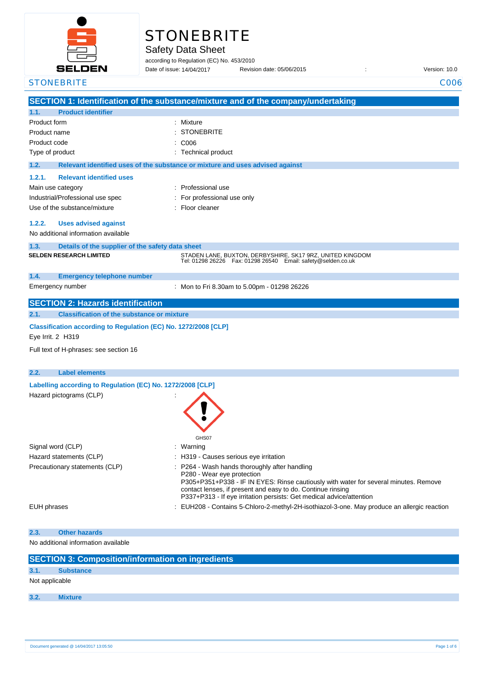

|  | <b>STONEBRITE</b> |  |  |
|--|-------------------|--|--|
|  |                   |  |  |

Safety Data Sheet

according to Regulation (EC) No. 453/2010

Date of issue: 14/04/2017

Date of issue: Revision date: 05/06/2015 : Version: 10.0

| <b>STONEBRITE</b>                |                                                                 | C006                                                                                                                                |
|----------------------------------|-----------------------------------------------------------------|-------------------------------------------------------------------------------------------------------------------------------------|
|                                  |                                                                 | SECTION 1: Identification of the substance/mixture and of the company/undertaking                                                   |
| 1.1.                             | <b>Product identifier</b>                                       |                                                                                                                                     |
| Product form                     |                                                                 | Mixture                                                                                                                             |
| Product name                     |                                                                 | <b>STONEBRITE</b>                                                                                                                   |
| Product code                     |                                                                 | C006                                                                                                                                |
| Type of product                  |                                                                 | Technical product                                                                                                                   |
| 1.2.                             |                                                                 | Relevant identified uses of the substance or mixture and uses advised against                                                       |
| 1.2.1.                           | <b>Relevant identified uses</b>                                 |                                                                                                                                     |
| Main use category                |                                                                 | : Professional use                                                                                                                  |
| Industrial/Professional use spec |                                                                 | For professional use only                                                                                                           |
| Use of the substance/mixture     |                                                                 | Floor cleaner                                                                                                                       |
| 1.2.2.                           | <b>Uses advised against</b>                                     |                                                                                                                                     |
|                                  | No additional information available                             |                                                                                                                                     |
| 1.3.                             | Details of the supplier of the safety data sheet                |                                                                                                                                     |
| <b>SELDEN RESEARCH LIMITED</b>   |                                                                 | STADEN LANE, BUXTON, DERBYSHIRE, SK17 9RZ, UNITED KINGDOM                                                                           |
|                                  |                                                                 | Tel: 01298 26226    Fax: 01298 26540    Email: safety@selden.co.uk                                                                  |
| 1.4.                             | <b>Emergency telephone number</b>                               |                                                                                                                                     |
| Emergency number                 |                                                                 | : Mon to Fri 8.30am to 5.00pm - 01298 26226                                                                                         |
|                                  | <b>SECTION 2: Hazards identification</b>                        |                                                                                                                                     |
| 2.1.                             | <b>Classification of the substance or mixture</b>               |                                                                                                                                     |
|                                  | Classification according to Regulation (EC) No. 1272/2008 [CLP] |                                                                                                                                     |
| Eye Irrit. 2 H319                |                                                                 |                                                                                                                                     |
|                                  | Full text of H-phrases: see section 16                          |                                                                                                                                     |
|                                  |                                                                 |                                                                                                                                     |
| 2.2.                             | <b>Label elements</b>                                           |                                                                                                                                     |
|                                  | Labelling according to Regulation (EC) No. 1272/2008 [CLP]      |                                                                                                                                     |
| Hazard pictograms (CLP)          |                                                                 |                                                                                                                                     |
|                                  |                                                                 |                                                                                                                                     |
|                                  |                                                                 |                                                                                                                                     |
|                                  |                                                                 |                                                                                                                                     |
|                                  |                                                                 | GHS07                                                                                                                               |
| Signal word (CLP)                |                                                                 | Warning                                                                                                                             |
| Hazard statements (CLP)          |                                                                 | : H319 - Causes serious eye irritation                                                                                              |
| Precautionary statements (CLP)   |                                                                 | P264 - Wash hands thoroughly after handling                                                                                         |
|                                  |                                                                 | P280 - Wear eye protection                                                                                                          |
|                                  |                                                                 | P305+P351+P338 - IF IN EYES: Rinse cautiously with water for several minutes. Remove                                                |
|                                  |                                                                 | contact lenses, if present and easy to do. Continue rinsing<br>P337+P313 - If eye irritation persists: Get medical advice/attention |
| EUH phrases                      |                                                                 | : EUH208 - Contains 5-Chloro-2-methyl-2H-isothiazol-3-one. May produce an allergic reaction                                         |
|                                  |                                                                 |                                                                                                                                     |
| 2.3.                             | <b>Other hazards</b>                                            |                                                                                                                                     |
|                                  | No additional information available                             |                                                                                                                                     |
|                                  |                                                                 |                                                                                                                                     |
|                                  | <b>SECTION 3: Composition/information on ingredients</b>        |                                                                                                                                     |
| 3.1.<br><b>Substance</b>         |                                                                 |                                                                                                                                     |
| Not applicable                   |                                                                 |                                                                                                                                     |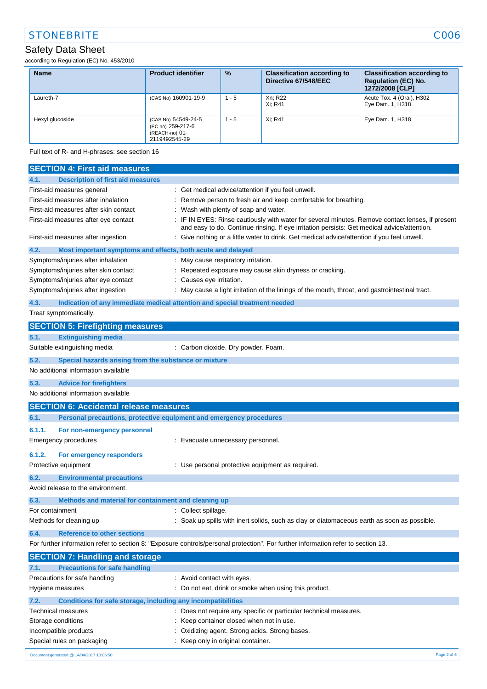# STONEBRITE COOS

## Safety Data Sheet

according to Regulation (EC) No. 453/2010

| <b>Name</b>     | <b>Product identifier</b>                                                   | $\frac{9}{6}$ | <b>Classification according to</b><br>Directive 67/548/EEC | <b>Classification according to</b><br><b>Regulation (EC) No.</b><br>1272/2008 [CLP] |
|-----------------|-----------------------------------------------------------------------------|---------------|------------------------------------------------------------|-------------------------------------------------------------------------------------|
| Laureth-7       | (CAS No) 160901-19-9                                                        | $1 - 5$       | Xn: R22<br>Xi: R41                                         | Acute Tox. 4 (Oral), H302<br>Eye Dam. 1, H318                                       |
| Hexyl glucoside | (CAS No) 54549-24-5<br>(EC no) 259-217-6<br>(REACH-no) 01-<br>2119492545-29 | $1 - 5$       | Xi: R41                                                    | Eye Dam. 1, H318                                                                    |

Full text of R- and H-phrases: see section 16

|                 | <b>SECTION 4: First aid measures</b>                                |                                                                                                                                                                                               |
|-----------------|---------------------------------------------------------------------|-----------------------------------------------------------------------------------------------------------------------------------------------------------------------------------------------|
| 4.1.            | <b>Description of first aid measures</b>                            |                                                                                                                                                                                               |
|                 | First-aid measures general                                          | : Get medical advice/attention if you feel unwell.                                                                                                                                            |
|                 | First-aid measures after inhalation                                 | Remove person to fresh air and keep comfortable for breathing.                                                                                                                                |
|                 | First-aid measures after skin contact                               | Wash with plenty of soap and water.                                                                                                                                                           |
|                 | First-aid measures after eye contact                                | IF IN EYES: Rinse cautiously with water for several minutes. Remove contact lenses, if present<br>and easy to do. Continue rinsing. If eye irritation persists: Get medical advice/attention. |
|                 | First-aid measures after ingestion                                  | : Give nothing or a little water to drink. Get medical advice/attention if you feel unwell.                                                                                                   |
| 4.2.            | Most important symptoms and effects, both acute and delayed         |                                                                                                                                                                                               |
|                 | Symptoms/injuries after inhalation                                  | : May cause respiratory irritation.                                                                                                                                                           |
|                 | Symptoms/injuries after skin contact                                | Repeated exposure may cause skin dryness or cracking.                                                                                                                                         |
|                 | Symptoms/injuries after eye contact                                 | : Causes eye irritation.                                                                                                                                                                      |
|                 | Symptoms/injuries after ingestion                                   | : May cause a light irritation of the linings of the mouth, throat, and gastrointestinal tract.                                                                                               |
| 4.3.            |                                                                     | Indication of any immediate medical attention and special treatment needed                                                                                                                    |
|                 | Treat symptomatically.                                              |                                                                                                                                                                                               |
|                 | <b>SECTION 5: Firefighting measures</b>                             |                                                                                                                                                                                               |
| 5.1.            | <b>Extinguishing media</b>                                          |                                                                                                                                                                                               |
|                 | Suitable extinguishing media                                        | : Carbon dioxide. Dry powder. Foam.                                                                                                                                                           |
| 5.2.            | Special hazards arising from the substance or mixture               |                                                                                                                                                                                               |
|                 | No additional information available                                 |                                                                                                                                                                                               |
| 5.3.            | <b>Advice for firefighters</b>                                      |                                                                                                                                                                                               |
|                 | No additional information available                                 |                                                                                                                                                                                               |
|                 | <b>SECTION 6: Accidental release measures</b>                       |                                                                                                                                                                                               |
|                 |                                                                     |                                                                                                                                                                                               |
| 6.1.            | Personal precautions, protective equipment and emergency procedures |                                                                                                                                                                                               |
| 6.1.1.          | For non-emergency personnel                                         |                                                                                                                                                                                               |
|                 | Emergency procedures                                                | : Evacuate unnecessary personnel.                                                                                                                                                             |
|                 |                                                                     |                                                                                                                                                                                               |
| 6.1.2.          | For emergency responders                                            |                                                                                                                                                                                               |
|                 | Protective equipment                                                | : Use personal protective equipment as required.                                                                                                                                              |
| 6.2.            | <b>Environmental precautions</b>                                    |                                                                                                                                                                                               |
|                 | Avoid release to the environment.                                   |                                                                                                                                                                                               |
| 6.3.            | Methods and material for containment and cleaning up                |                                                                                                                                                                                               |
| For containment |                                                                     | : Collect spillage.                                                                                                                                                                           |
|                 | Methods for cleaning up                                             | : Soak up spills with inert solids, such as clay or diatomaceous earth as soon as possible.                                                                                                   |
| 6.4.            | <b>Reference to other sections</b>                                  |                                                                                                                                                                                               |
|                 |                                                                     | For further information refer to section 8: "Exposure controls/personal protection". For further information refer to section 13.                                                             |
|                 | <b>SECTION 7: Handling and storage</b>                              |                                                                                                                                                                                               |
| 7.1.            | <b>Precautions for safe handling</b>                                |                                                                                                                                                                                               |
|                 | Precautions for safe handling                                       | : Avoid contact with eyes.                                                                                                                                                                    |
|                 | Hygiene measures                                                    | : Do not eat, drink or smoke when using this product.                                                                                                                                         |
| 7.2.            | Conditions for safe storage, including any incompatibilities        |                                                                                                                                                                                               |
|                 | Technical measures                                                  | : Does not require any specific or particular technical measures.                                                                                                                             |
|                 | Storage conditions                                                  | : Keep container closed when not in use.                                                                                                                                                      |
|                 | Incompatible products                                               | Oxidizing agent. Strong acids. Strong bases.                                                                                                                                                  |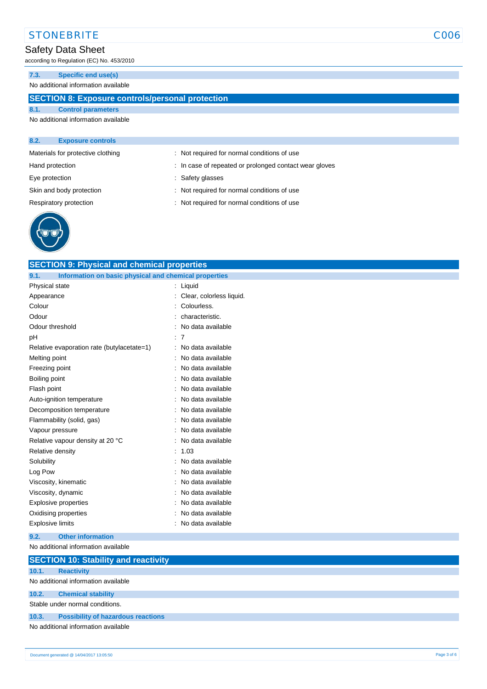## STONEBRITE COOS

# Safety Data Sheet

according to Regulation (EC) No. 453/2010

### **7.3. Specific end use(s)**

No additional information available

### **SECTION 8: Exposure controls/personal protection**

### **8.1. Control parameters** No additional information available

| 8.2.           | <b>Exposure controls</b>          |                                                        |  |
|----------------|-----------------------------------|--------------------------------------------------------|--|
|                | Materials for protective clothing | : Not required for normal conditions of use            |  |
|                | Hand protection                   | : In case of repeated or prolonged contact wear gloves |  |
| Eye protection |                                   | : Safety glasses                                       |  |
|                | Skin and body protection          | : Not required for normal conditions of use            |  |
|                | Respiratory protection            | : Not required for normal conditions of use            |  |
|                |                                   |                                                        |  |



| <b>SECTION 9: Physical and chemical properties</b>            |                          |             |  |  |
|---------------------------------------------------------------|--------------------------|-------------|--|--|
| Information on basic physical and chemical properties<br>9.1. |                          |             |  |  |
| Physical state                                                | Liquid                   |             |  |  |
| Appearance                                                    | Clear, colorless liquid. |             |  |  |
| Colour                                                        | Colourless.              |             |  |  |
| Odour                                                         | characteristic.          |             |  |  |
| Odour threshold                                               | No data available        |             |  |  |
| рH                                                            | $\therefore$ 7           |             |  |  |
| Relative evaporation rate (butylacetate=1)                    | No data available        |             |  |  |
| Melting point                                                 | No data available        |             |  |  |
| Freezing point                                                | No data available        |             |  |  |
| Boiling point                                                 | No data available        |             |  |  |
| Flash point                                                   | No data available        |             |  |  |
| Auto-ignition temperature                                     | No data available        |             |  |  |
| Decomposition temperature                                     | No data available        |             |  |  |
| Flammability (solid, gas)                                     | No data available        |             |  |  |
| Vapour pressure                                               | No data available        |             |  |  |
| Relative vapour density at 20 °C                              | No data available        |             |  |  |
| Relative density                                              | 1.03                     |             |  |  |
| Solubility                                                    | No data available        |             |  |  |
| Log Pow                                                       | No data available        |             |  |  |
| Viscosity, kinematic                                          | No data available        |             |  |  |
| Viscosity, dynamic                                            | No data available        |             |  |  |
| Explosive properties                                          | No data available        |             |  |  |
| Oxidising properties                                          | No data available        |             |  |  |
| <b>Explosive limits</b>                                       | No data available        |             |  |  |
| 9.2.<br><b>Other information</b>                              |                          |             |  |  |
| No additional information available                           |                          |             |  |  |
| <b>SECTION 10: Stability and reactivity</b>                   |                          |             |  |  |
| 10.1.<br><b>Reactivity</b>                                    |                          |             |  |  |
| No additional information available                           |                          |             |  |  |
| 10.2.<br><b>Chemical stability</b>                            |                          |             |  |  |
| Stable under normal conditions.                               |                          |             |  |  |
| 10.3.<br><b>Possibility of hazardous reactions</b>            |                          |             |  |  |
| No additional information available                           |                          |             |  |  |
|                                                               |                          |             |  |  |
| Document generated @ 14/04/2017 13:05:50                      |                          | Page 3 of 6 |  |  |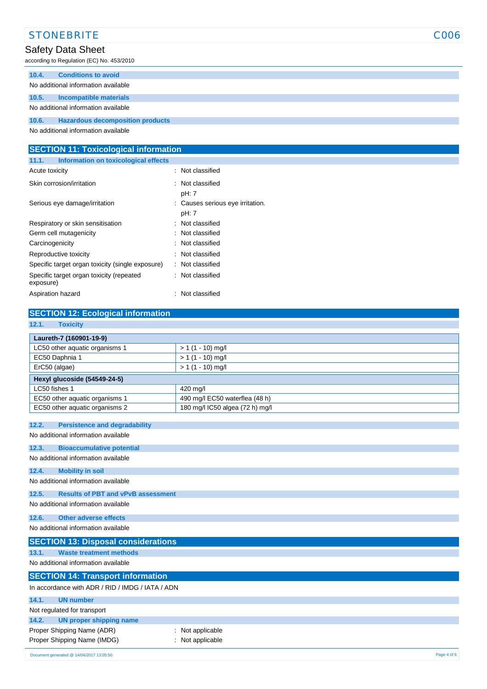|       | <b>STONEBRITE</b>                         | C006 |
|-------|-------------------------------------------|------|
|       | Safety Data Sheet                         |      |
|       | according to Regulation (EC) No. 453/2010 |      |
| 10.4. | <b>Conditions to avoid</b>                |      |
|       | No additional information available       |      |
| 10.5. | Incompatible materials                    |      |
|       | No additional information available       |      |
| 10.6. | <b>Hazardous decomposition products</b>   |      |
|       | No additional information available       |      |

| <b>SECTION 11: Toxicological information</b>          |                                           |  |  |  |
|-------------------------------------------------------|-------------------------------------------|--|--|--|
| 11.1.<br>Information on toxicological effects         |                                           |  |  |  |
| Acute toxicity                                        | : Not classified                          |  |  |  |
| Skin corrosion/irritation                             | : Not classified<br>pH: 7                 |  |  |  |
| Serious eye damage/irritation                         | : Causes serious eye irritation.<br>pH: 7 |  |  |  |
| Respiratory or skin sensitisation                     | : Not classified                          |  |  |  |
| Germ cell mutagenicity                                | : Not classified                          |  |  |  |
| Carcinogenicity                                       | : Not classified                          |  |  |  |
| Reproductive toxicity                                 | : Not classified                          |  |  |  |
| Specific target organ toxicity (single exposure)      | : Not classified                          |  |  |  |
| Specific target organ toxicity (repeated<br>exposure) | : Not classified                          |  |  |  |
| Aspiration hazard                                     | : Not classified                          |  |  |  |

## **SECTION 12: Ecological information**

| 12.1.<br><b>Toxicity</b>                           |                                 |  |  |  |
|----------------------------------------------------|---------------------------------|--|--|--|
| Laureth-7 (160901-19-9)                            |                                 |  |  |  |
| LC50 other aquatic organisms 1                     | $> 1(1 - 10)$ mg/l              |  |  |  |
| EC50 Daphnia 1                                     | $> 1(1 - 10)$ mg/l              |  |  |  |
| ErC50 (algae)                                      | $> 1(1 - 10)$ mg/l              |  |  |  |
| Hexyl glucoside (54549-24-5)                       |                                 |  |  |  |
| LC50 fishes 1                                      | 420 mg/l                        |  |  |  |
| EC50 other aquatic organisms 1                     | 490 mg/l EC50 waterflea (48 h)  |  |  |  |
| EC50 other aquatic organisms 2                     | 180 mg/l IC50 algea (72 h) mg/l |  |  |  |
| 12.2.<br><b>Persistence and degradability</b>      |                                 |  |  |  |
| No additional information available                |                                 |  |  |  |
|                                                    |                                 |  |  |  |
| 12.3.<br><b>Bioaccumulative potential</b>          |                                 |  |  |  |
| No additional information available                |                                 |  |  |  |
| 12.4.<br><b>Mobility in soil</b>                   |                                 |  |  |  |
| No additional information available                |                                 |  |  |  |
| 12.5.<br><b>Results of PBT and vPvB assessment</b> |                                 |  |  |  |
| No additional information available                |                                 |  |  |  |
| 12.6.<br><b>Other adverse effects</b>              |                                 |  |  |  |
| No additional information available                |                                 |  |  |  |
| <b>SECTION 13: Disposal considerations</b>         |                                 |  |  |  |
| 13.1.<br><b>Waste treatment methods</b>            |                                 |  |  |  |
| No additional information available                |                                 |  |  |  |
| <b>SECTION 14: Transport information</b>           |                                 |  |  |  |
| In accordance with ADR / RID / IMDG / IATA / ADN   |                                 |  |  |  |
| 14.1.<br><b>UN number</b>                          |                                 |  |  |  |
| Not regulated for transport                        |                                 |  |  |  |
| 14.2.<br><b>UN proper shipping name</b>            |                                 |  |  |  |
| Proper Shipping Name (ADR)                         | Not applicable                  |  |  |  |
| Proper Shipping Name (IMDG)                        | Not applicable                  |  |  |  |
| Document generated @ 14/04/2017 13:05:50           | Page 4 of 6                     |  |  |  |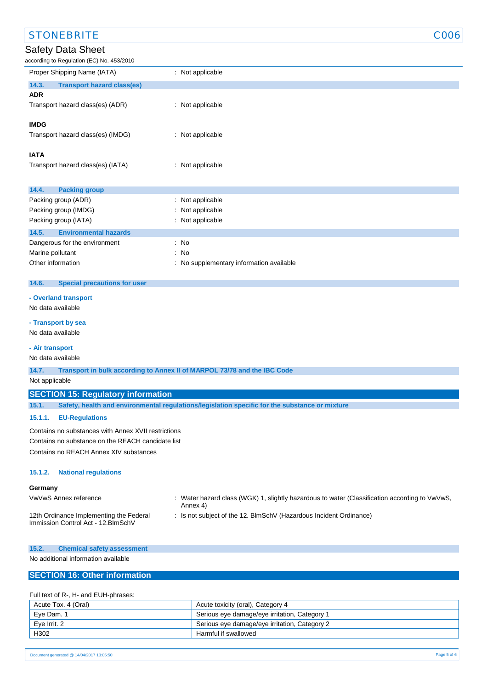| <b>STONEBRITE</b><br>C006                                                                               |                                                                                             |  |  |  |
|---------------------------------------------------------------------------------------------------------|---------------------------------------------------------------------------------------------|--|--|--|
| <b>Safety Data Sheet</b>                                                                                |                                                                                             |  |  |  |
| according to Regulation (EC) No. 453/2010                                                               |                                                                                             |  |  |  |
| Proper Shipping Name (IATA)                                                                             | : Not applicable                                                                            |  |  |  |
| 14.3.<br><b>Transport hazard class(es)</b><br><b>ADR</b>                                                |                                                                                             |  |  |  |
| Transport hazard class(es) (ADR)                                                                        | : Not applicable                                                                            |  |  |  |
| <b>IMDG</b>                                                                                             |                                                                                             |  |  |  |
| Transport hazard class(es) (IMDG)                                                                       | : Not applicable                                                                            |  |  |  |
| <b>IATA</b>                                                                                             |                                                                                             |  |  |  |
| Transport hazard class(es) (IATA)                                                                       | : Not applicable                                                                            |  |  |  |
|                                                                                                         |                                                                                             |  |  |  |
| 14.4.<br><b>Packing group</b>                                                                           |                                                                                             |  |  |  |
| Packing group (ADR)                                                                                     | Not applicable<br>÷                                                                         |  |  |  |
| Packing group (IMDG)                                                                                    | Not applicable                                                                              |  |  |  |
| Packing group (IATA)                                                                                    | Not applicable                                                                              |  |  |  |
| <b>Environmental hazards</b><br>14.5.                                                                   |                                                                                             |  |  |  |
| Dangerous for the environment                                                                           | : No                                                                                        |  |  |  |
| Marine pollutant                                                                                        | $:$ No                                                                                      |  |  |  |
| Other information                                                                                       | : No supplementary information available                                                    |  |  |  |
|                                                                                                         |                                                                                             |  |  |  |
| 14.6.<br><b>Special precautions for user</b>                                                            |                                                                                             |  |  |  |
| - Overland transport                                                                                    |                                                                                             |  |  |  |
| No data available                                                                                       |                                                                                             |  |  |  |
|                                                                                                         |                                                                                             |  |  |  |
| - Transport by sea                                                                                      |                                                                                             |  |  |  |
| No data available                                                                                       |                                                                                             |  |  |  |
| - Air transport                                                                                         |                                                                                             |  |  |  |
| No data available                                                                                       |                                                                                             |  |  |  |
| 14.7.<br>Transport in bulk according to Annex II of MARPOL 73/78 and the IBC Code                       |                                                                                             |  |  |  |
| Not applicable                                                                                          |                                                                                             |  |  |  |
| <b>SECTION 15: Regulatory information</b>                                                               |                                                                                             |  |  |  |
| Safety, health and environmental regulations/legislation specific for the substance or mixture<br>15.1. |                                                                                             |  |  |  |
| 15.1.1.<br><b>EU-Regulations</b>                                                                        |                                                                                             |  |  |  |
| Contains no substances with Annex XVII restrictions                                                     |                                                                                             |  |  |  |
| Contains no substance on the REACH candidate list                                                       |                                                                                             |  |  |  |
| Contains no REACH Annex XIV substances                                                                  |                                                                                             |  |  |  |
|                                                                                                         |                                                                                             |  |  |  |
| <b>National regulations</b><br>15.1.2.                                                                  |                                                                                             |  |  |  |
| Germany                                                                                                 | Water horord alone (WCK) 1, alightly horordous to water (Closeification according to Vullue |  |  |  |

12th Ordinance Implementing the Federal

- VwVwS Annex reference : Water hazard class (WGK) 1, slightly hazardous to water (Classification according to VwVwS, Annex 4)
	- : Is not subject of the 12. BlmSchV (Hazardous Incident Ordinance)

Immission Control Act - 12.BImSchV

#### **15.2. Chemical safety assessment**

No additional information available

### **SECTION 16: Other information**

#### Full text of R-, H- and EUH-phrases:

| Acute Tox. 4 (Oral) | Acute toxicity (oral), Category 4             |
|---------------------|-----------------------------------------------|
| Eye Dam. 1          | Serious eye damage/eye irritation, Category 1 |
| Eve Irrit, 2        | Serious eye damage/eye irritation, Category 2 |
| H302                | Harmful if swallowed                          |